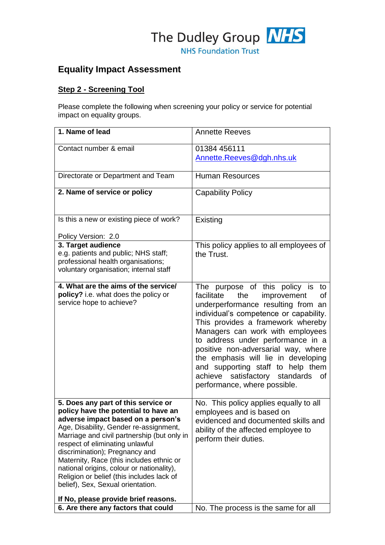

# **Equality Impact Assessment**

### **Step 2 - Screening Tool**

Please complete the following when screening your policy or service for potential impact on equality groups.

| Contact number & email<br>01384 456111<br>Annette.Reeves@dgh.nhs.uk                                                                                                                                                                                                                                                                                                                                                                                                                                                                                                                                                                      |                |
|------------------------------------------------------------------------------------------------------------------------------------------------------------------------------------------------------------------------------------------------------------------------------------------------------------------------------------------------------------------------------------------------------------------------------------------------------------------------------------------------------------------------------------------------------------------------------------------------------------------------------------------|----------------|
|                                                                                                                                                                                                                                                                                                                                                                                                                                                                                                                                                                                                                                          |                |
|                                                                                                                                                                                                                                                                                                                                                                                                                                                                                                                                                                                                                                          |                |
| Directorate or Department and Team<br><b>Human Resources</b>                                                                                                                                                                                                                                                                                                                                                                                                                                                                                                                                                                             |                |
| 2. Name of service or policy<br><b>Capability Policy</b>                                                                                                                                                                                                                                                                                                                                                                                                                                                                                                                                                                                 |                |
| Is this a new or existing piece of work?<br><b>Existing</b>                                                                                                                                                                                                                                                                                                                                                                                                                                                                                                                                                                              |                |
| Policy Version: 2.0                                                                                                                                                                                                                                                                                                                                                                                                                                                                                                                                                                                                                      |                |
| 3. Target audience<br>This policy applies to all employees of<br>e.g. patients and public; NHS staff;<br>the Trust.<br>professional health organisations;<br>voluntary organisation; internal staff                                                                                                                                                                                                                                                                                                                                                                                                                                      |                |
| 4. What are the aims of the service/<br>The purpose of this policy is<br>policy? i.e. what does the policy or<br>facilitate<br>the<br>improvement<br>service hope to achieve?<br>underperformance resulting from an<br>individual's competence or capability.<br>This provides a framework whereby<br>Managers can work with employees<br>to address under performance in a<br>positive non-adversarial way, where<br>the emphasis will lie in developing<br>and supporting staff to help them<br>satisfactory standards<br>achieve<br>performance, where possible.                                                                      | to<br>οf<br>0f |
| 5. Does any part of this service or<br>No. This policy applies equally to all<br>policy have the potential to have an<br>employees and is based on<br>adverse impact based on a person's<br>evidenced and documented skills and<br>Age, Disability, Gender re-assignment,<br>ability of the affected employee to<br>Marriage and civil partnership (but only in<br>perform their duties.<br>respect of eliminating unlawful<br>discrimination); Pregnancy and<br>Maternity, Race (this includes ethnic or<br>national origins, colour or nationality),<br>Religion or belief (this includes lack of<br>belief), Sex, Sexual orientation. |                |
| If No, please provide brief reasons.<br>6. Are there any factors that could<br>No. The process is the same for all                                                                                                                                                                                                                                                                                                                                                                                                                                                                                                                       |                |